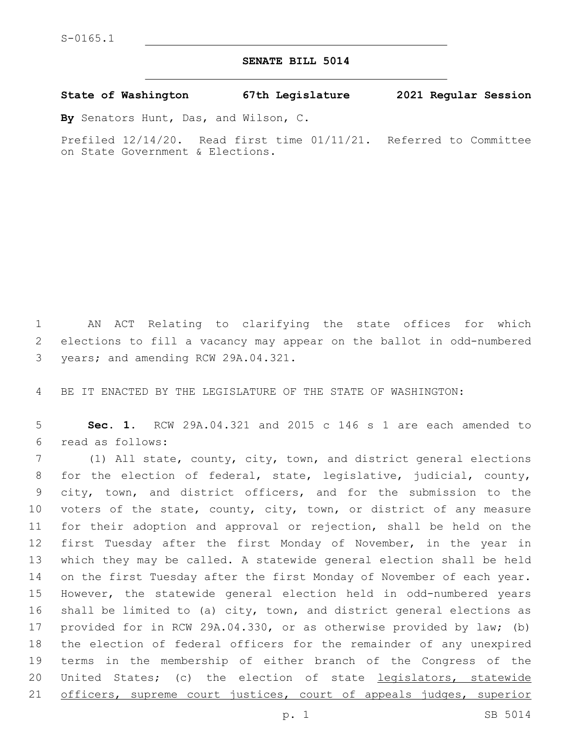## **SENATE BILL 5014**

**State of Washington 67th Legislature 2021 Regular Session**

**By** Senators Hunt, Das, and Wilson, C.

Prefiled 12/14/20. Read first time 01/11/21. Referred to Committee on State Government & Elections.

 AN ACT Relating to clarifying the state offices for which elections to fill a vacancy may appear on the ballot in odd-numbered 3 years; and amending RCW 29A.04.321.

BE IT ENACTED BY THE LEGISLATURE OF THE STATE OF WASHINGTON:

 **Sec. 1.** RCW 29A.04.321 and 2015 c 146 s 1 are each amended to read as follows:6

 (1) All state, county, city, town, and district general elections for the election of federal, state, legislative, judicial, county, city, town, and district officers, and for the submission to the voters of the state, county, city, town, or district of any measure for their adoption and approval or rejection, shall be held on the first Tuesday after the first Monday of November, in the year in which they may be called. A statewide general election shall be held on the first Tuesday after the first Monday of November of each year. However, the statewide general election held in odd-numbered years shall be limited to (a) city, town, and district general elections as provided for in RCW 29A.04.330, or as otherwise provided by law; (b) the election of federal officers for the remainder of any unexpired terms in the membership of either branch of the Congress of the 20 United States; (c) the election of state legislators, statewide 21 officers, supreme court justices, court of appeals judges, superior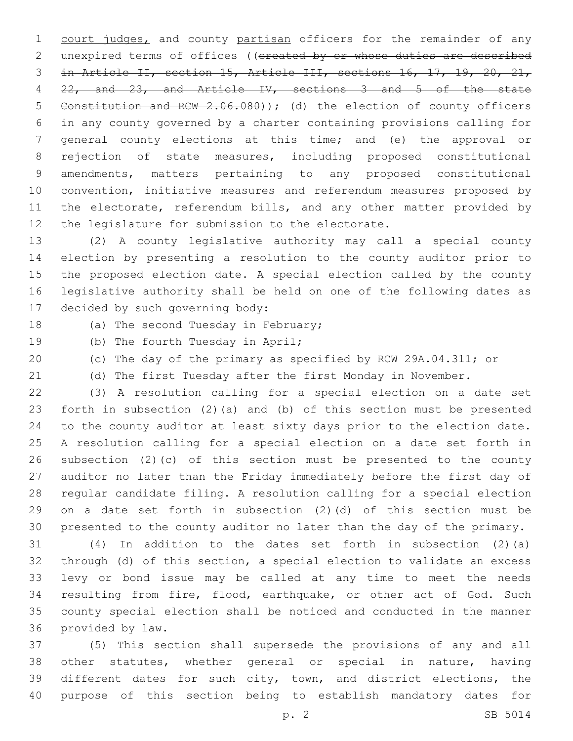1 court judges, and county partisan officers for the remainder of any 2 unexpired terms of offices ((ereated by or whose duties are described in Article II, section 15, Article III, sections 16, 17, 19, 20, 21, 22, and 23, and Article IV, sections 3 and 5 of the state Constitution and RCW 2.06.080)); (d) the election of county officers in any county governed by a charter containing provisions calling for general county elections at this time; and (e) the approval or rejection of state measures, including proposed constitutional amendments, matters pertaining to any proposed constitutional convention, initiative measures and referendum measures proposed by 11 the electorate, referendum bills, and any other matter provided by 12 the legislature for submission to the electorate.

 (2) A county legislative authority may call a special county election by presenting a resolution to the county auditor prior to the proposed election date. A special election called by the county legislative authority shall be held on one of the following dates as 17 decided by such governing body:

18 (a) The second Tuesday in February;

- 19 (b) The fourth Tuesday in April;
- (c) The day of the primary as specified by RCW 29A.04.311; or
- 

(d) The first Tuesday after the first Monday in November.

 (3) A resolution calling for a special election on a date set forth in subsection (2)(a) and (b) of this section must be presented to the county auditor at least sixty days prior to the election date. A resolution calling for a special election on a date set forth in subsection (2)(c) of this section must be presented to the county auditor no later than the Friday immediately before the first day of regular candidate filing. A resolution calling for a special election on a date set forth in subsection (2)(d) of this section must be presented to the county auditor no later than the day of the primary.

 (4) In addition to the dates set forth in subsection (2)(a) through (d) of this section, a special election to validate an excess levy or bond issue may be called at any time to meet the needs resulting from fire, flood, earthquake, or other act of God. Such county special election shall be noticed and conducted in the manner 36 provided by law.

 (5) This section shall supersede the provisions of any and all other statutes, whether general or special in nature, having different dates for such city, town, and district elections, the purpose of this section being to establish mandatory dates for